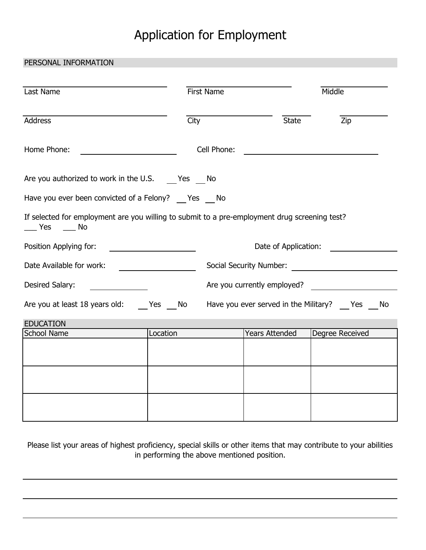## Application for Employment

## PERSONAL INFORMATION

| Last Name                                                                                                                             |          | <b>First Name</b>           |                       | Middle                                       |  |
|---------------------------------------------------------------------------------------------------------------------------------------|----------|-----------------------------|-----------------------|----------------------------------------------|--|
| <b>Address</b><br>City                                                                                                                |          |                             | <b>State</b>          | Zip                                          |  |
| Home Phone:                                                                                                                           |          | Cell Phone:                 |                       |                                              |  |
| Are you authorized to work in the U.S. Yes No                                                                                         |          |                             |                       |                                              |  |
| Have you ever been convicted of a Felony? Yes No                                                                                      |          |                             |                       |                                              |  |
| If selected for employment are you willing to submit to a pre-employment drug screening test?<br>$\sqrt{1 + 2}$ Yes $\sqrt{1 - 2}$ No |          |                             |                       |                                              |  |
| <u> The Communication of the Communication</u><br>Position Applying for:                                                              |          | Date of Application:        |                       |                                              |  |
|                                                                                                                                       |          |                             |                       |                                              |  |
| Desired Salary:                                                                                                                       |          | Are you currently employed? |                       |                                              |  |
| Are you at least 18 years old: Yes No                                                                                                 |          |                             |                       | Have you ever served in the Military? Yes No |  |
| <b>EDUCATION</b>                                                                                                                      |          |                             |                       |                                              |  |
| <b>School Name</b>                                                                                                                    | Location |                             | <b>Years Attended</b> | Degree Received                              |  |
|                                                                                                                                       |          |                             |                       |                                              |  |
|                                                                                                                                       |          |                             |                       |                                              |  |
|                                                                                                                                       |          |                             |                       |                                              |  |
|                                                                                                                                       |          |                             |                       |                                              |  |
|                                                                                                                                       |          |                             |                       |                                              |  |

Please list your areas of highest proficiency, special skills or other items that may contribute to your abilities in performing the above mentioned position.